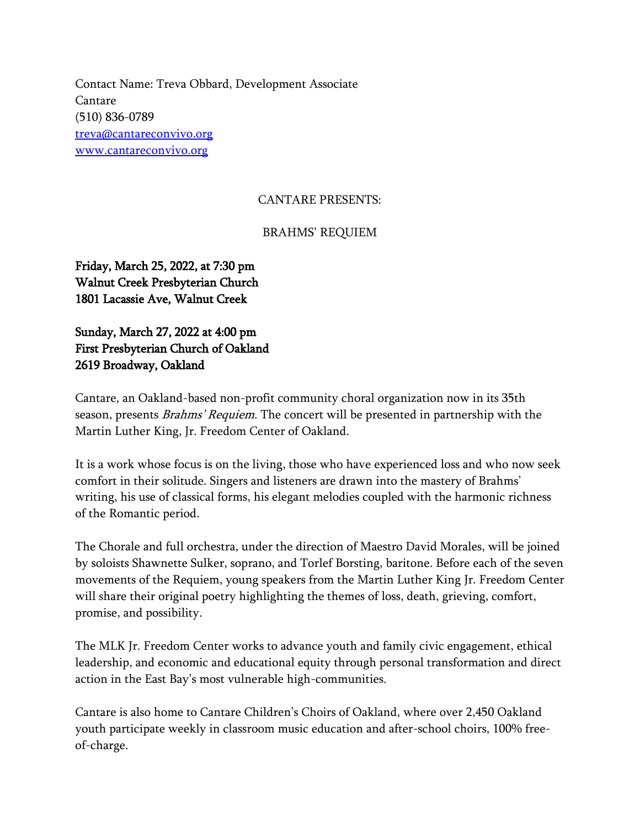Contact Name: Treva Obbard, Development Associate Cantare (510) 836-0789 [treva@cantareconvivo.org](mailto:treva@cantareconvivo.org) [www.cantareconvivo.org](http://www.cantareconvivo.org/)

## CANTARE PRESENTS:

## BRAHMS' REQUIEM

Friday, March 25, 2022, at 7:30 pm Walnut Creek Presbyterian Church 1801 Lacassie Ave, Walnut Creek

Sunday, March 27, 2022 at 4:00 pm First Presbyterian Church of Oakland 2619 Broadway, Oakland

Cantare, an Oakland-based non-profit community choral organization now in its 35th season, presents *Brahms' Requiem*. The concert will be presented in partnership with the Martin Luther King, Jr. Freedom Center of Oakland.

It is a work whose focus is on the living, those who have experienced loss and who now seek comfort in their solitude. Singers and listeners are drawn into the mastery of Brahms' writing, his use of classical forms, his elegant melodies coupled with the harmonic richness of the Romantic period.

The Chorale and full orchestra, under the direction of Maestro David Morales, will be joined by soloists Shawnette Sulker, soprano, and Torlef Borsting, baritone. Before each of the seven movements of the Requiem, young speakers from the Martin Luther King Jr. Freedom Center will share their original poetry highlighting the themes of loss, death, grieving, comfort, promise, and possibility.

The MLK Jr. Freedom Center works to advance youth and family civic engagement, ethical leadership, and economic and educational equity through personal transformation and direct action in the East Bay's most vulnerable high-communities.

Cantare is also home to Cantare Children's Choirs of Oakland, where over 2,450 Oakland youth participate weekly in classroom music education and after-school choirs, 100% freeof-charge.